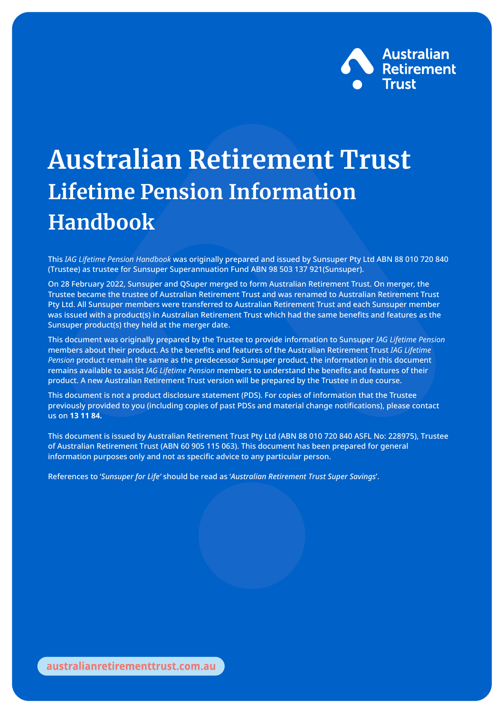

## **Australian Retirement Trust Lifetime Pension Information Handbook**

This *IAG Lifetime Pension Handbook* was originally prepared and issued by Sunsuper Pty Ltd ABN 88 010 720 840 (Trustee) as trustee for Sunsuper Superannuation Fund ABN 98 503 137 921(Sunsuper).

On 28 February 2022, Sunsuper and QSuper merged to form Australian Retirement Trust. On merger, the Trustee became the trustee of Australian Retirement Trust and was renamed to Australian Retirement Trust Pty Ltd. All Sunsuper members were transferred to Australian Retirement Trust and each Sunsuper member was issued with a product(s) in Australian Retirement Trust which had the same benefits and features as the Sunsuper product(s) they held at the merger date.

This document was originally prepared by the Trustee to provide information to Sunsuper *IAG Lifetime Pension* members about their product. As the benefits and features of the Australian Retirement Trust *IAG Lifetime Pension* product remain the same as the predecessor Sunsuper product, the information in this document remains available to assist *IAG Lifetime Pension* members to understand the benefits and features of their product. A new Australian Retirement Trust version will be prepared by the Trustee in due course.

This document is not a product disclosure statement (PDS). For copies of information that the Trustee previously provided to you (including copies of past PDSs and material change notifications), please contact us on **13 11 84.**

This document is issued by Australian Retirement Trust Pty Ltd (ABN 88 010 720 840 ASFL No: 228975), Trustee of Australian Retirement Trust (ABN 60 905 115 063). This document has been prepared for general information purposes only and not as specific advice to any particular person.

References to '*Sunsuper for Life'* should be read as '*Australian Retirement Trust Super Savings*'.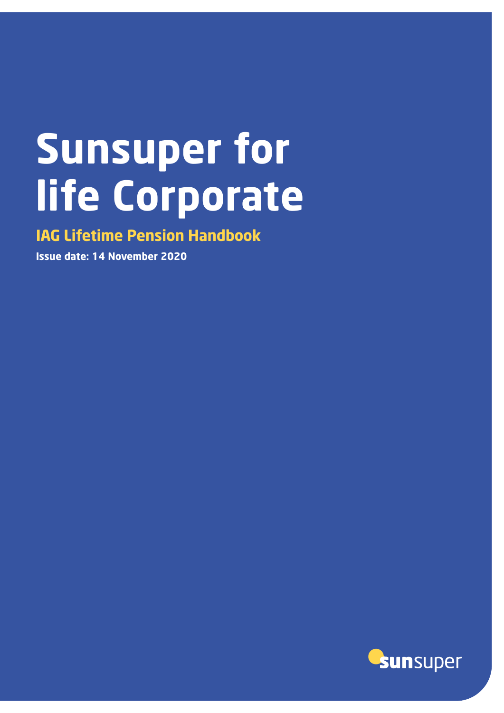# **Sunsuper for life Corporate**

**IAG Lifetime Pension Handbook**

**Issue date: 14 November 2020**

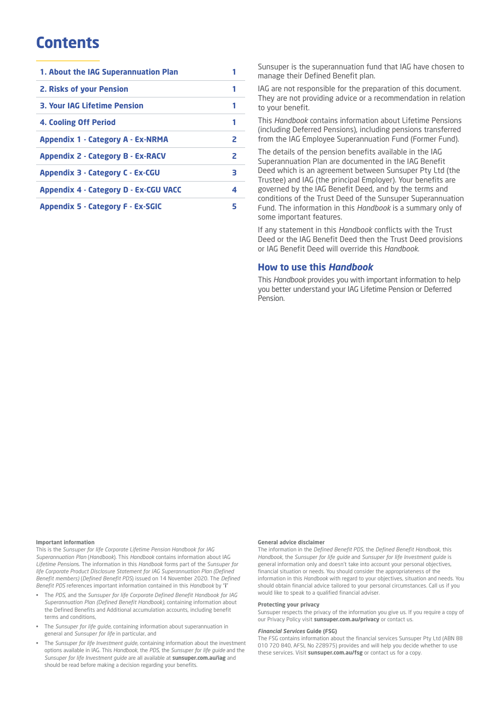## **Contents**

| 2. Risks of your Pension<br>1<br><b>3. Your IAG Lifetime Pension</b><br>1<br>4. Cooling Off Period<br>1<br>Appendix 1 - Category A - Ex-NRMA<br>2<br><b>Appendix 2 - Category B - Ex-RACV</b><br>2<br><b>Appendix 3 - Category C - Ex-CGU</b><br>3<br><b>Appendix 4 - Category D - Ex-CGU VACC</b><br>4<br><b>Appendix 5 - Category F - Ex-SGIC</b><br>5 | 1. About the IAG Superannuation Plan |  |
|----------------------------------------------------------------------------------------------------------------------------------------------------------------------------------------------------------------------------------------------------------------------------------------------------------------------------------------------------------|--------------------------------------|--|
|                                                                                                                                                                                                                                                                                                                                                          |                                      |  |
|                                                                                                                                                                                                                                                                                                                                                          |                                      |  |
|                                                                                                                                                                                                                                                                                                                                                          |                                      |  |
|                                                                                                                                                                                                                                                                                                                                                          |                                      |  |
|                                                                                                                                                                                                                                                                                                                                                          |                                      |  |
|                                                                                                                                                                                                                                                                                                                                                          |                                      |  |
|                                                                                                                                                                                                                                                                                                                                                          |                                      |  |
|                                                                                                                                                                                                                                                                                                                                                          |                                      |  |

Sunsuper is the superannuation fund that IAG have chosen to manage their Defined Benefit plan.

IAG are not responsible for the preparation of this document. They are not providing advice or a recommendation in relation to your benefit.

This *Handbook* contains information about Lifetime Pensions (including Deferred Pensions), including pensions transferred from the IAG Employee Superannuation Fund (Former Fund).

The details of the pension benefits available in the IAG Superannuation Plan are documented in the IAG Benefit Deed which is an agreement between Sunsuper Pty Ltd (the Trustee) and IAG (the principal Employer). Your benefits are governed by the IAG Benefit Deed, and by the terms and conditions of the Trust Deed of the Sunsuper Superannuation Fund. The information in this *Handbook* is a summary only of some important features.

If any statement in this *Handbook* conflicts with the Trust Deed or the IAG Benefit Deed then the Trust Deed provisions or IAG Benefit Deed will override this *Handbook*.

#### **How to use this** *Handbook*

This *Handbook* provides you with important information to help you better understand your IAG Lifetime Pension or Deferred Pension.

#### **Important information**

This is the *Sunsuper for life Corporate Lifetime Pension Handbook for IAG Superannuation Plan* (*Handbook*). This *Handbook* contains information about IAG *Lifetime Pension*s. The information in this *Handbook* forms part of the *Sunsuper for life Corporate Product Disclosure Statement for IAG Superannuation Plan (Defined Benefit members)* (*Defined Benefit PDS*) issued on 14 November 2020. The *Defined Benefit PDS* references important information contained in this *Handbook* by "**i**"

- The *PDS*, and the *Sunsuper for life Corporate Defined Benefit Handbook for IAG Superannuation Plan (Defined Benefit Handbook)*, containing information about the Defined Benefits and Additional accumulation accounts, including benefit terms and conditions,
- The *Sunsuper for life guide*, containing information about superannuation in general and *Sunsuper for life* in particular, and
- The *Sunsuper for life Investment guide*, containing information about the investment options available in IAG. This *Handbook*, the *PDS*, the *Sunsuper for life guide* and the *Sunsuper for life Investment guide* are all available at **sunsuper.com.au/iag** and should be read before making a decision regarding your benefits.

#### **General advice disclaimer**

The information in the *Defined Benefit PDS*, the *Defined Benefit Handbook*, this *Handbook*, the *Sunsuper for life guide* and *Sunsuper for life Investment guide* is general information only and doesn't take into account your personal objectives, financial situation or needs. You should consider the appropriateness of the information in this *Handbook* with regard to your objectives, situation and needs. You should obtain financial advice tailored to your personal circumstances. Call us if you would like to speak to a qualified financial adviser.

#### **Protecting your privacy**

Sunsuper respects the privacy of the information you give us. If you require a copy of our Privacy Policy visit **sunsuper.com.au/privacy** or contact us.

#### *Financial Services* **Guide (FSG)**

The FSG contains information about the financial services Sunsuper Pty Ltd (ABN 88 010 720 840, AFSL No 228975) provides and will help you decide whether to use these services. Visit **sunsuper.com.au/fsg** or contact us for a copy.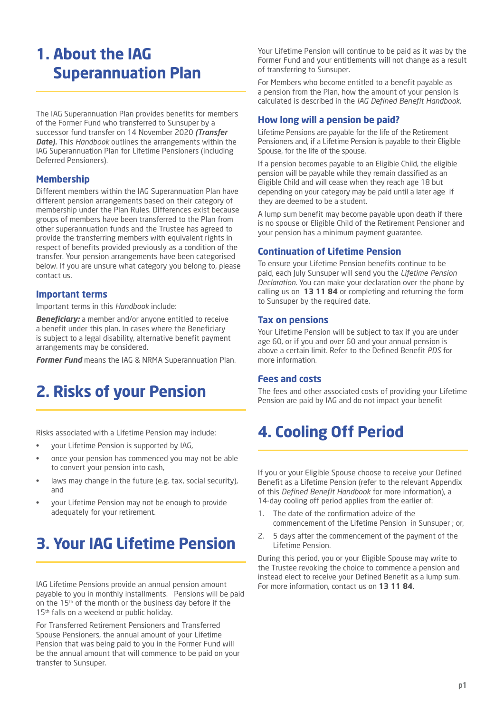## **1. About the IAG Superannuation Plan**

The IAG Superannuation Plan provides benefits for members of the Former Fund who transferred to Sunsuper by a successor fund transfer on 14 November 2020 *(Transfer Date).* This *Handbook* outlines the arrangements within the IAG Superannuation Plan for Lifetime Pensioners (including Deferred Pensioners).

#### **Membership**

Different members within the IAG Superannuation Plan have different pension arrangements based on their category of membership under the Plan Rules. Differences exist because groups of members have been transferred to the Plan from other superannuation funds and the Trustee has agreed to provide the transferring members with equivalent rights in respect of benefits provided previously as a condition of the transfer. Your pension arrangements have been categorised below. If you are unsure what category you belong to, please contact us.

#### **Important terms**

Important terms in this *Handbook* include:

*Beneficiary:* a member and/or anyone entitled to receive a benefit under this plan. In cases where the Beneficiary is subject to a legal disability, alternative benefit payment arrangements may be considered.

*Former Fund* means the IAG & NRMA Superannuation Plan.

## **2. Risks of your Pension**

Risks associated with a Lifetime Pension may include:

- your Lifetime Pension is supported by IAG,
- once your pension has commenced you may not be able to convert your pension into cash,
- laws may change in the future (e.g. tax, social security), and
- your Lifetime Pension may not be enough to provide adequately for your retirement.

## **3. Your IAG Lifetime Pension**

IAG Lifetime Pensions provide an annual pension amount payable to you in monthly installments. Pensions will be paid on the 15<sup>th</sup> of the month or the business day before if the 15<sup>th</sup> falls on a weekend or public holiday.

For Transferred Retirement Pensioners and Transferred Spouse Pensioners, the annual amount of your Lifetime Pension that was being paid to you in the Former Fund will be the annual amount that will commence to be paid on your transfer to Sunsuper.

Your Lifetime Pension will continue to be paid as it was by the Former Fund and your entitlements will not change as a result of transferring to Sunsuper.

For Members who become entitled to a benefit payable as a pension from the Plan, how the amount of your pension is calculated is described in the *IAG Defined Benefit Handbook*.

#### **How long will a pension be paid?**

Lifetime Pensions are payable for the life of the Retirement Pensioners and, if a Lifetime Pension is payable to their Eligible Spouse, for the life of the spouse.

If a pension becomes payable to an Eligible Child, the eligible pension will be payable while they remain classified as an Eligible Child and will cease when they reach age 18 but depending on your category may be paid until a later age if they are deemed to be a student.

A lump sum benefit may become payable upon death if there is no spouse or Eligible Child of the Retirement Pensioner and your pension has a minimum payment guarantee.

#### **Continuation of Lifetime Pension**

To ensure your Lifetime Pension benefits continue to be paid, each July Sunsuper will send you the *Lifetime Pension Declaration*. You can make your declaration over the phone by calling us on **13 11 84** or completing and returning the form to Sunsuper by the required date.

#### **Tax on pensions**

Your Lifetime Pension will be subject to tax if you are under age 60, or if you and over 60 and your annual pension is above a certain limit. Refer to the Defined Benefit *PDS* for more information.

#### **Fees and costs**

The fees and other associated costs of providing your Lifetime Pension are paid by IAG and do not impact your benefit

## **4. Cooling Off Period**

If you or your Eligible Spouse choose to receive your Defined Benefit as a Lifetime Pension (refer to the relevant Appendix of this *Defined Benefit Handbook* for more information), a 14-day cooling off period applies from the earlier of:

- 1. The date of the confirmation advice of the commencement of the Lifetime Pension in Sunsuper ; or,
- 2. 5 days after the commencement of the payment of the Lifetime Pension.

During this period, you or your Eligible Spouse may write to the Trustee revoking the choice to commence a pension and instead elect to receive your Defined Benefit as a lump sum. For more information, contact us on **13 11 84**.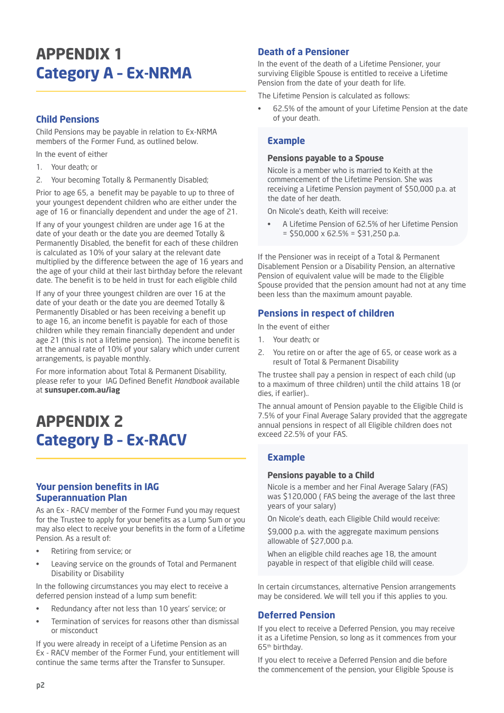## **APPENDIX 1 Category A – Ex-NRMA**

#### **Child Pensions**

Child Pensions may be payable in relation to Ex-NRMA members of the Former Fund, as outlined below.

In the event of either

- 1. Your death; or
- 2. Your becoming Totally & Permanently Disabled;

Prior to age 65, a benefit may be payable to up to three of your youngest dependent children who are either under the age of 16 or financially dependent and under the age of 21.

If any of your youngest children are under age 16 at the date of your death or the date you are deemed Totally & Permanently Disabled, the benefit for each of these children is calculated as 10% of your salary at the relevant date multiplied by the difference between the age of 16 years and the age of your child at their last birthday before the relevant date. The benefit is to be held in trust for each eligible child

If any of your three youngest children are over 16 at the date of your death or the date you are deemed Totally & Permanently Disabled or has been receiving a benefit up to age 16, an income benefit is payable for each of those children while they remain financially dependent and under age 21 (this is not a lifetime pension). The income benefit is at the annual rate of 10% of your salary which under current arrangements, is payable monthly.

For more information about Total & Permanent Disability, please refer to your IAG Defined Benefit *Handbook* available at **sunsuper.com.au/iag**

## **APPENDIX 2 Category B – Ex-RACV**

#### **Your pension benefits in IAG Superannuation Plan**

As an Ex - RACV member of the Former Fund you may request for the Trustee to apply for your benefits as a Lump Sum or you may also elect to receive your benefits in the form of a Lifetime Pension. As a result of:

- Retiring from service; or
- Leaving service on the grounds of Total and Permanent Disability or Disability

In the following circumstances you may elect to receive a deferred pension instead of a lump sum benefit:

- Redundancy after not less than 10 years' service; or
- Termination of services for reasons other than dismissal or misconduct

If you were already in receipt of a Lifetime Pension as an Ex - RACV member of the Former Fund, your entitlement will continue the same terms after the Transfer to Sunsuper.

#### **Death of a Pensioner**

In the event of the death of a Lifetime Pensioner, your surviving Eligible Spouse is entitled to receive a Lifetime Pension from the date of your death for life.

The Lifetime Pension is calculated as follows:

• 62.5% of the amount of your Lifetime Pension at the date of your death.

#### **Example**

#### **Pensions payable to a Spouse**

Nicole is a member who is married to Keith at the commencement of the Lifetime Pension. She was receiving a Lifetime Pension payment of \$50,000 p.a. at the date of her death.

On Nicole's death, Keith will receive:

• A Lifetime Pension of 62.5% of her Lifetime Pension  $=$  \$50,000 x 62.5% = \$31,250 p.a.

If the Pensioner was in receipt of a Total & Permanent Disablement Pension or a Disability Pension, an alternative Pension of equivalent value will be made to the Eligible Spouse provided that the pension amount had not at any time been less than the maximum amount payable.

#### **Pensions in respect of children**

In the event of either

- 1. Your death; or
- 2. You retire on or after the age of 65, or cease work as a result of Total & Permanent Disability

The trustee shall pay a pension in respect of each child (up to a maximum of three children) until the child attains 18 (or dies, if earlier)..

The annual amount of Pension payable to the Eligible Child is 7.5% of your Final Average Salary provided that the aggregate annual pensions in respect of all Eligible children does not exceed 22.5% of your FAS.

#### **Example**

#### **Pensions payable to a Child**

Nicole is a member and her Final Average Salary (FAS) was \$120,000 ( FAS being the average of the last three years of your salary)

On Nicole's death, each Eligible Child would receive:

\$9,000 p.a. with the aggregate maximum pensions allowable of \$27,000 p.a.

When an eligible child reaches age 18, the amount payable in respect of that eligible child will cease.

In certain circumstances, alternative Pension arrangements may be considered. We will tell you if this applies to you.

#### **Deferred Pension**

If you elect to receive a Deferred Pension, you may receive it as a Lifetime Pension, so long as it commences from your 65th birthday.

If you elect to receive a Deferred Pension and die before the commencement of the pension, your Eligible Spouse is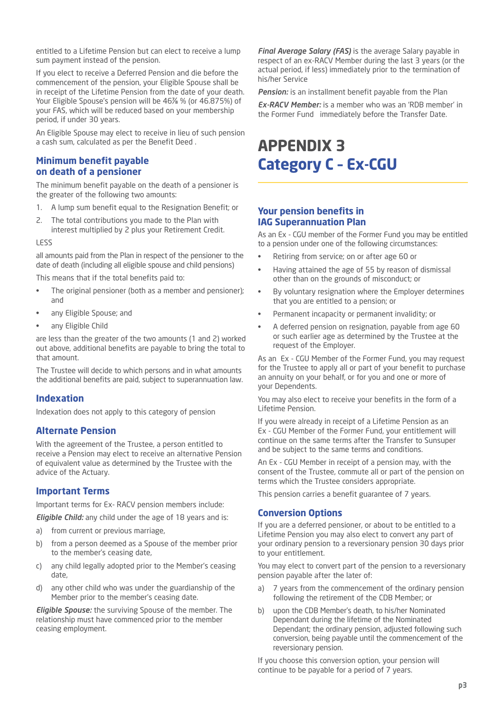entitled to a Lifetime Pension but can elect to receive a lump sum payment instead of the pension.

If you elect to receive a Deferred Pension and die before the commencement of the pension, your Eligible Spouse shall be in receipt of the Lifetime Pension from the date of your death. Your Eligible Spouse's pension will be 46⅞ % (or 46.875%) of your FAS, which will be reduced based on your membership period, if under 30 years.

An Eligible Spouse may elect to receive in lieu of such pension a cash sum, calculated as per the Benefit Deed .

#### **Minimum benefit payable on death of a pensioner**

The minimum benefit payable on the death of a pensioner is the greater of the following two amounts:

- 1. A lump sum benefit equal to the Resignation Benefit; or
- 2. The total contributions you made to the Plan with interest multiplied by 2 plus your Retirement Credit.

#### LESS

all amounts paid from the Plan in respect of the pensioner to the date of death (including all eligible spouse and child pensions)

This means that if the total benefits paid to:

- The original pensioner (both as a member and pensioner); and
- any Eligible Spouse; and
- any Eligible Child

are less than the greater of the two amounts (1 and 2) worked out above, additional benefits are payable to bring the total to that amount.

The Trustee will decide to which persons and in what amounts the additional benefits are paid, subject to superannuation law.

#### **Indexation**

Indexation does not apply to this category of pension

#### **Alternate Pension**

With the agreement of the Trustee, a person entitled to receive a Pension may elect to receive an alternative Pension of equivalent value as determined by the Trustee with the advice of the Actuary.

#### **Important Terms**

Important terms for Ex- RACV pension members include:

*Eligible Child:* any child under the age of 18 years and is:

- a) from current or previous marriage,
- b) from a person deemed as a Spouse of the member prior to the member's ceasing date,
- c) any child legally adopted prior to the Member's ceasing date,
- d) any other child who was under the guardianship of the Member prior to the member's ceasing date.

*Eligible Spouse:* the surviving Spouse of the member. The relationship must have commenced prior to the member ceasing employment.

*Final Average Salary (FAS)* is the average Salary payable in respect of an ex-RACV Member during the last 3 years (or the actual period, if less) immediately prior to the termination of his/her Service

*Pension:* is an installment benefit payable from the Plan

*Ex-RACV Member:* is a member who was an 'RDB member' in the Former Fund immediately before the Transfer Date.

## **APPENDIX 3 Category C – Ex-CGU**

#### **Your pension benefits in IAG Superannuation Plan**

As an Ex - CGU member of the Former Fund you may be entitled to a pension under one of the following circumstances:

- Retiring from service; on or after age 60 or
- Having attained the age of 55 by reason of dismissal other than on the grounds of misconduct; or
- By voluntary resignation where the Employer determines that you are entitled to a pension; or
- Permanent incapacity or permanent invalidity; or
- A deferred pension on resignation, payable from age 60 or such earlier age as determined by the Trustee at the request of the Employer.

As an Ex - CGU Member of the Former Fund, you may request for the Trustee to apply all or part of your benefit to purchase an annuity on your behalf, or for you and one or more of your Dependents.

You may also elect to receive your benefits in the form of a Lifetime Pension.

If you were already in receipt of a Lifetime Pension as an Ex - CGU Member of the Former Fund, your entitlement will continue on the same terms after the Transfer to Sunsuper and be subject to the same terms and conditions.

An Ex - CGU Member in receipt of a pension may, with the consent of the Trustee, commute all or part of the pension on terms which the Trustee considers appropriate.

This pension carries a benefit guarantee of 7 years.

#### **Conversion Options**

If you are a deferred pensioner, or about to be entitled to a Lifetime Pension you may also elect to convert any part of your ordinary pension to a reversionary pension 30 days prior to your entitlement.

You may elect to convert part of the pension to a reversionary pension payable after the later of:

- a) 7 years from the commencement of the ordinary pension following the retirement of the CDB Member; or
- b) upon the CDB Member's death, to his/her Nominated Dependant during the lifetime of the Nominated Dependant; the ordinary pension, adjusted following such conversion, being payable until the commencement of the reversionary pension.

If you choose this conversion option, your pension will continue to be payable for a period of 7 years.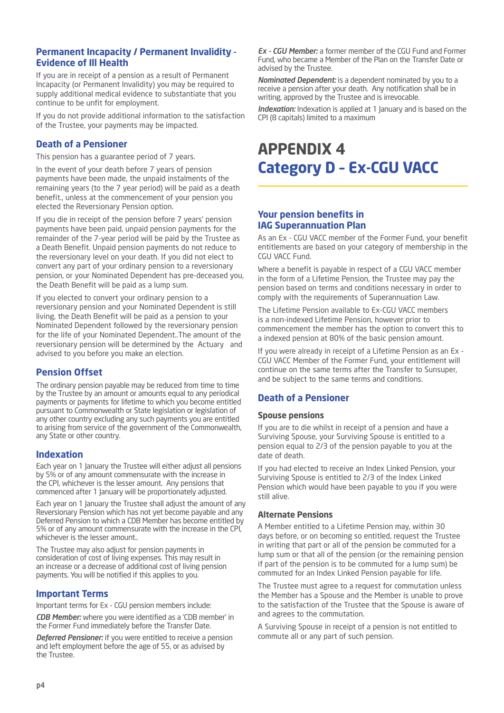#### **Permanent Incapacity / Permanent Invalidity - Evidence of Ill Health**

If you are in receipt of a pension as a result of Permanent Incapacity (or Permanent Invalidity) you may be required to supply additional medical evidence to substantiate that you continue to be unfit for employment.

If you do not provide additional information to the satisfaction of the Trustee, your payments may be impacted.

#### **Death of a Pensioner**

This pension has a guarantee period of 7 years.

In the event of your death before 7 years of pension payments have been made, the unpaid instalments of the remaining years (to the 7 year period) will be paid as a death benefit., unless at the commencement of your pension you elected the Reversionary Pension option.

If you die in receipt of the pension before 7 years' pension payments have been paid, unpaid pension payments for the remainder of the 7-year period will be paid by the Trustee as a Death Benefit. Unpaid pension payments do not reduce to the reversionary level on your death. If you did not elect to convert any part of your ordinary pension to a reversionary pension, or your Nominated Dependent has pre-deceased you, the Death Benefit will be paid as a lump sum.

If you elected to convert your ordinary pension to a reversionary pension and your Nominated Dependent is still living, the Death Benefit will be paid as a pension to your Nominated Dependent followed by the reversionary pension for the life of your Nominated Dependent..The amount of the reversionary pension will be determined by the Actuary and advised to you before you make an election.

#### **Pension Offset**

The ordinary pension payable may be reduced from time to time by the Trustee by an amount or amounts equal to any periodical payments or payments for lifetime to which you become entitled pursuant to Commonwealth or State legislation or legislation of any other country excluding any such payments you are entitled to arising from service of the government of the Commonwealth, any State or other country.

#### **Indexation**

Each year on 1 January the Trustee will either adjust all pensions by 5% or of any amount commensurate with the increase in the CPI, whichever is the lesser amount. Any pensions that commenced after 1 January will be proportionately adjusted.

Each year on 1 January the Trustee shall adjust the amount of any Reversionary Pension which has not yet become payable and any Deferred Pension to which a CDB Member has become entitled by 5% or of any amount commensurate with the increase in the CPI, whichever is the lesser amount..

The Trustee may also adjust for pension payments in consideration of cost of living expenses. This may result in an increase or a decrease of additional cost of living pension payments. You will be notified if this applies to you.

#### **Important Terms**

Important terms for Ex - CGU pension members include:

*CDB Member:* where you were identified as a 'CDB member' in the Former Fund immediately before the Transfer Date.

*Deferred Pensioner:* if you were entitled to receive a pension and left employment before the age of 55, or as advised by the Trustee.

*Ex - CGU Member:* a former member of the CGU Fund and Former Fund, who became a Member of the Plan on the Transfer Date or advised by the Trustee.

*Nominated Dependent:* is a dependent nominated by you to a receive a pension after your death. Any notification shall be in writing, approved by the Trustee and is irrevocable.

*Indexation:* Indexation is applied at 1 January and is based on the CPI (8 capitals) limited to a maximum

## **APPENDIX 4 Category D – Ex-CGU VACC**

#### **Your pension benefits in IAG Superannuation Plan**

As an Ex - CGU VACC member of the Former Fund, your benefit entitlements are based on your category of membership in the CGU VACC Fund.

Where a benefit is payable in respect of a CGU VACC member in the form of a Lifetime Pension, the Trustee may pay the pension based on terms and conditions necessary in order to comply with the requirements of Superannuation Law.

The Lifetime Pension available to Ex-CGU VACC members is a non-indexed Lifetime Pension, however prior to commencement the member has the option to convert this to a indexed pension at 80% of the basic pension amount.

If you were already in receipt of a Lifetime Pension as an Ex - CGU VACC Member of the Former Fund, your entitlement will continue on the same terms after the Transfer to Sunsuper, and be subject to the same terms and conditions.

#### **Death of a Pensioner**

#### **Spouse pensions**

If you are to die whilst in receipt of a pension and have a Surviving Spouse, your Surviving Spouse is entitled to a pension equal to 2/3 of the pension payable to you at the date of death.

If you had elected to receive an Index Linked Pension, your Surviving Spouse is entitled to 2/3 of the Index Linked Pension which would have been payable to you if you were still alive.

#### **Alternate Pensions**

A Member entitled to a Lifetime Pension may, within 30 days before, or on becoming so entitled, request the Trustee in writing that part or all of the pension be commuted for a lump sum or that all of the pension (or the remaining pension if part of the pension is to be commuted for a lump sum) be commuted for an Index Linked Pension payable for life.

The Trustee must agree to a request for commutation unless the Member has a Spouse and the Member is unable to prove to the satisfaction of the Trustee that the Spouse is aware of and agrees to the commutation.

A Surviving Spouse in receipt of a pension is not entitled to commute all or any part of such pension.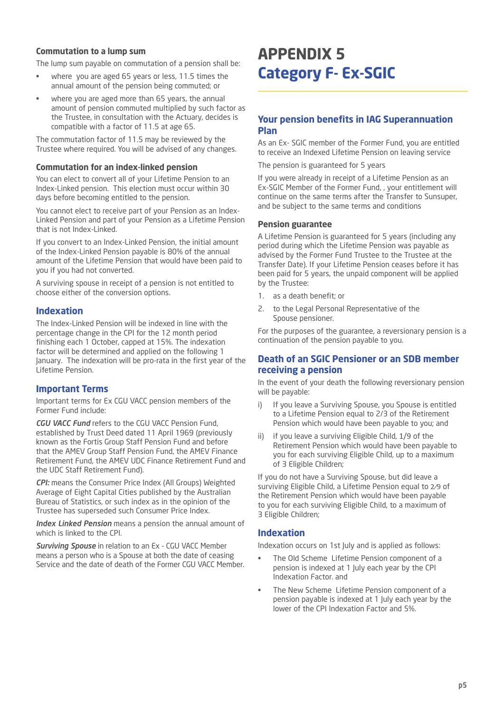#### **Commutation to a lump sum**

The lump sum payable on commutation of a pension shall be:

- where you are aged 65 years or less, 11.5 times the annual amount of the pension being commuted; or
- where you are aged more than 65 years, the annual amount of pension commuted multiplied by such factor as the Trustee, in consultation with the Actuary, decides is compatible with a factor of 11.5 at age 65.

The commutation factor of 11.5 may be reviewed by the Trustee where required. You will be advised of any changes.

#### **Commutation for an index-linked pension**

You can elect to convert all of your Lifetime Pension to an Index-Linked pension. This election must occur within 30 days before becoming entitled to the pension.

You cannot elect to receive part of your Pension as an Index-Linked Pension and part of your Pension as a Lifetime Pension that is not Index-Linked.

If you convert to an Index-Linked Pension, the initial amount of the Index-Linked Pension payable is 80% of the annual amount of the Lifetime Pension that would have been paid to you if you had not converted.

A surviving spouse in receipt of a pension is not entitled to choose either of the conversion options.

#### **Indexation**

The Index-Linked Pension will be indexed in line with the percentage change in the CPI for the 12 month period finishing each 1 October, capped at 15%. The indexation factor will be determined and applied on the following 1 January. The indexation will be pro-rata in the first year of the Lifetime Pension.

#### **Important Terms**

Important terms for Ex CGU VACC pension members of the Former Fund include:

*CGU VACC Fund* refers to the CGU VACC Pension Fund, established by Trust Deed dated 11 April 1969 (previously known as the Fortis Group Staff Pension Fund and before that the AMEV Group Staff Pension Fund, the AMEV Finance Retirement Fund, the AMEV UDC Finance Retirement Fund and the UDC Staff Retirement Fund).

*CPI:* means the Consumer Price Index (All Groups) Weighted Average of Eight Capital Cities published by the Australian Bureau of Statistics, or such index as in the opinion of the Trustee has superseded such Consumer Price Index.

*Index Linked Pension* means a pension the annual amount of which is linked to the CPI.

*Surviving Spouse* in relation to an Ex - CGU VACC Member means a person who is a Spouse at both the date of ceasing Service and the date of death of the Former CGU VACC Member.

## **APPENDIX 5 Category F- Ex-SGIC**

#### **Your pension benefits in IAG Superannuation Plan**

As an Ex- SGIC member of the Former Fund, you are entitled to receive an Indexed Lifetime Pension on leaving service

The pension is guaranteed for 5 years

If you were already in receipt of a Lifetime Pension as an Ex-SGIC Member of the Former Fund, , your entitlement will continue on the same terms after the Transfer to Sunsuper, and be subject to the same terms and conditions

#### **Pension guarantee**

A Lifetime Pension is guaranteed for 5 years (including any period during which the Lifetime Pension was payable as advised by the Former Fund Trustee to the Trustee at the Transfer Date). If your Lifetime Pension ceases before it has been paid for 5 years, the unpaid component will be applied by the Trustee:

- 1. as a death benefit; or
- 2. to the Legal Personal Representative of the Spouse pensioner.

For the purposes of the guarantee, a reversionary pension is a continuation of the pension payable to you.

#### **Death of an SGIC Pensioner or an SDB member receiving a pension**

In the event of your death the following reversionary pension will be payable:

- i) If you leave a Surviving Spouse, you Spouse is entitled to a Lifetime Pension equal to 2/3 of the Retirement Pension which would have been payable to you; and
- ii) if you leave a surviving Eligible Child, 1/9 of the Retirement Pension which would have been payable to you for each surviving Eligible Child, up to a maximum of 3 Eligible Children;

If you do not have a Surviving Spouse, but did leave a surviving Eligible Child, a Lifetime Pension equal to 2⁄9 of the Retirement Pension which would have been payable to you for each surviving Eligible Child, to a maximum of 3 Eligible Children;

#### **Indexation**

Indexation occurs on 1st July and is applied as follows:

- The Old Scheme Lifetime Pension component of a pension is indexed at 1 July each year by the CPI Indexation Factor. and
- The New Scheme Lifetime Pension component of a pension payable is indexed at 1 July each year by the lower of the CPI Indexation Factor and 5%.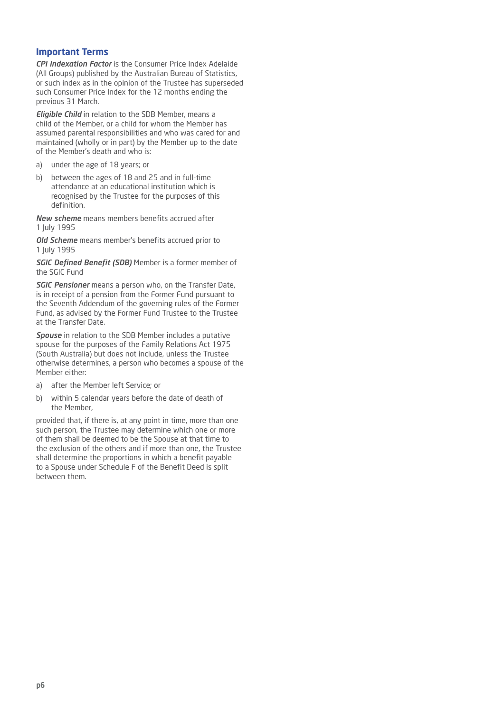#### **Important Terms**

*CPI Indexation Factor* is the Consumer Price Index Adelaide (All Groups) published by the Australian Bureau of Statistics, or such index as in the opinion of the Trustee has superseded such Consumer Price Index for the 12 months ending the previous 31 March.

*Eligible Child* in relation to the SDB Member, means a child of the Member, or a child for whom the Member has assumed parental responsibilities and who was cared for and maintained (wholly or in part) by the Member up to the date of the Member's death and who is:

- a) under the age of 18 years; or
- b) between the ages of 18 and 25 and in full-time attendance at an educational institution which is recognised by the Trustee for the purposes of this definition.

*New scheme* means members benefits accrued after 1 July 1995

*Old Scheme* means member's benefits accrued prior to 1 July 1995

*SGIC Defined Benefit (SDB)* Member is a former member of the SGIC Fund

*SGIC Pensioner* means a person who, on the Transfer Date, is in receipt of a pension from the Former Fund pursuant to the Seventh Addendum of the governing rules of the Former Fund, as advised by the Former Fund Trustee to the Trustee at the Transfer Date.

*Spouse* in relation to the SDB Member includes a putative spouse for the purposes of the Family Relations Act 1975 (South Australia) but does not include, unless the Trustee otherwise determines, a person who becomes a spouse of the Member either:

- a) after the Member left Service; or
- b) within 5 calendar years before the date of death of the Member,

provided that, if there is, at any point in time, more than one such person, the Trustee may determine which one or more of them shall be deemed to be the Spouse at that time to the exclusion of the others and if more than one, the Trustee shall determine the proportions in which a benefit payable to a Spouse under Schedule F of the Benefit Deed is split between them. between them. **<sup>2019</sup>**